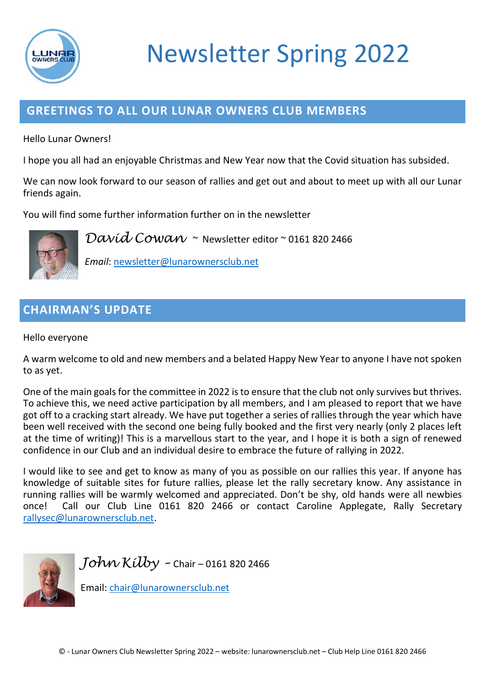

# Newsletter Spring 2022

## **GREETINGS TO ALL OUR LUNAR OWNERS CLUB MEMBERS**

Hello Lunar Owners!

I hope you all had an enjoyable Christmas and New Year now that the Covid situation has subsided.

We can now look forward to our season of rallies and get out and about to meet up with all our Lunar friends again.

You will find some further information further on in the newsletter



*David Cowan* ~ Newsletter editor ~ 0161 820 2466

*Email*: [newsletter@lunarownersclub.net](mailto:newsletter@lunarownersclub.net)

## **CHAIRMAN'S UPDATE**

Hello everyone

A warm welcome to old and new members and a belated Happy New Year to anyone I have not spoken to as yet.

One of the main goals for the committee in 2022 is to ensure that the club not only survives but thrives. To achieve this, we need active participation by all members, and I am pleased to report that we have got off to a cracking start already. We have put together a series of rallies through the year which have been well received with the second one being fully booked and the first very nearly (only 2 places left at the time of writing)! This is a marvellous start to the year, and I hope it is both a sign of renewed confidence in our Club and an individual desire to embrace the future of rallying in 2022.

I would like to see and get to know as many of you as possible on our rallies this year. If anyone has knowledge of suitable sites for future rallies, please let the rally secretary know. Any assistance in running rallies will be warmly welcomed and appreciated. Don't be shy, old hands were all newbies once! Call our Club Line 0161 820 2466 or contact Caroline Applegate, Rally Secretary [rallysec@lunarownersclub.net.](mailto:rallysec@lunarownersclub.net)



*John Kilby –* Chair – 0161 820 2466

Email: [chair@lunarownersclub.net](mailto:chair@lunarownersclub.net)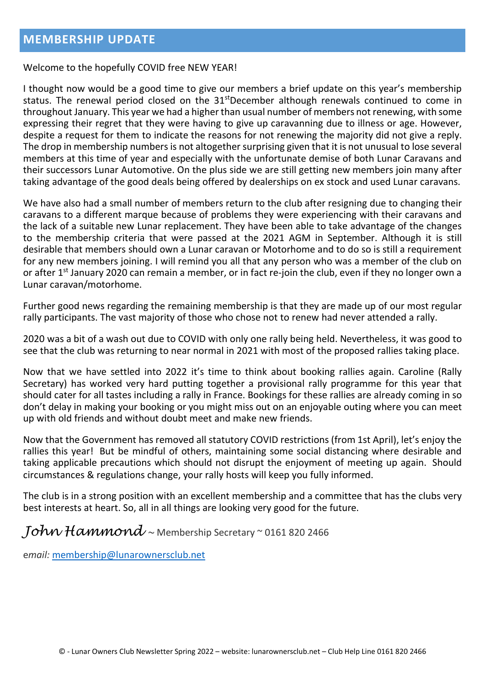Welcome to the hopefully COVID free NEW YEAR!

I thought now would be a good time to give our members a brief update on this year's membership status. The renewal period closed on the 31<sup>st</sup>December although renewals continued to come in throughout January. This year we had a higher than usual number of members not renewing, with some expressing their regret that they were having to give up caravanning due to illness or age. However, despite a request for them to indicate the reasons for not renewing the majority did not give a reply. The drop in membership numbers is not altogether surprising given that it is not unusual to lose several members at this time of year and especially with the unfortunate demise of both Lunar Caravans and their successors Lunar Automotive. On the plus side we are still getting new members join many after taking advantage of the good deals being offered by dealerships on ex stock and used Lunar caravans.

We have also had a small number of members return to the club after resigning due to changing their caravans to a different marque because of problems they were experiencing with their caravans and the lack of a suitable new Lunar replacement. They have been able to take advantage of the changes to the membership criteria that were passed at the 2021 AGM in September. Although it is still desirable that members should own a Lunar caravan or Motorhome and to do so is still a requirement for any new members joining. I will remind you all that any person who was a member of the club on or after 1<sup>st</sup> January 2020 can remain a member, or in fact re-join the club, even if they no longer own a Lunar caravan/motorhome.

Further good news regarding the remaining membership is that they are made up of our most regular rally participants. The vast majority of those who chose not to renew had never attended a rally.

2020 was a bit of a wash out due to COVID with only one rally being held. Nevertheless, it was good to see that the club was returning to near normal in 2021 with most of the proposed rallies taking place.

Now that we have settled into 2022 it's time to think about booking rallies again. Caroline (Rally Secretary) has worked very hard putting together a provisional rally programme for this year that should cater for all tastes including a rally in France. Bookings for these rallies are already coming in so don't delay in making your booking or you might miss out on an enjoyable outing where you can meet up with old friends and without doubt meet and make new friends.

Now that the Government has removed all statutory COVID restrictions (from 1st April), let's enjoy the rallies this year! But be mindful of others, maintaining some social distancing where desirable and taking applicable precautions which should not disrupt the enjoyment of meeting up again. Should circumstances & regulations change, your rally hosts will keep you fully informed.

The club is in a strong position with an excellent membership and a committee that has the clubs very best interests at heart. So, all in all things are looking very good for the future.

*John Hammond ~* Membership Secretary ~ 0161 820 2466

e*mail:* [membership@lunarownersclub.net](mailto:membership@lunarownersclub.net)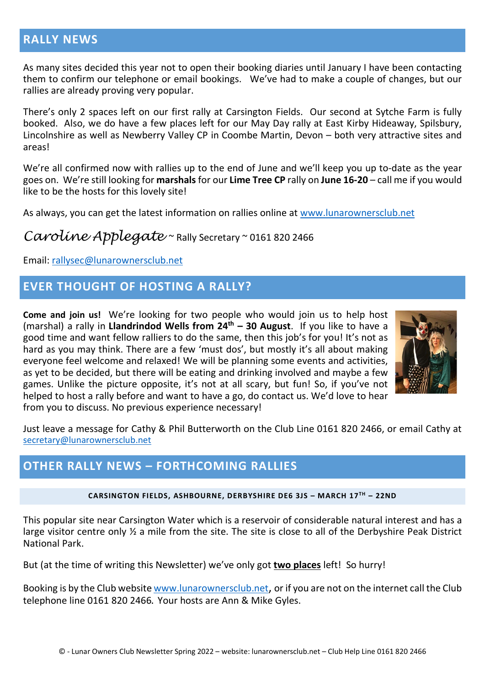#### **RALLY NEWS**

As many sites decided this year not to open their booking diaries until January I have been contacting them to confirm our telephone or email bookings. We've had to make a couple of changes, but our rallies are already proving very popular.

There's only 2 spaces left on our first rally at Carsington Fields. Our second at Sytche Farm is fully booked. Also, we do have a few places left for our May Day rally at East Kirby Hideaway, Spilsbury, Lincolnshire as well as Newberry Valley CP in Coombe Martin, Devon – both very attractive sites and areas!

We're all confirmed now with rallies up to the end of June and we'll keep you up to-date as the year goes on. We're still looking for **marshals** for our **Lime Tree CP** rally on **June 16-20** – call me if you would like to be the hosts for this lovely site!

As always, you can get the latest information on rallies online at [www.lunarownersclub.net](http://www.lunarownersclub.net/)

## *Caroline Applegate* ~ Rally Secretary ~ 0161 820 2466

Email: [rallysec@lunarownersclub.net](mailto:rallysec@lunarownersclub.net)

#### **EVER THOUGHT OF HOSTING A RALLY?**

**Come and join us!** We're looking for two people who would join us to help host (marshal) a rally in **Llandrindod Wells from 24th – 30 August**. If you like to have a good time and want fellow ralliers to do the same, then this job's for you! It's not as hard as you may think. There are a few 'must dos', but mostly it's all about making everyone feel welcome and relaxed! We will be planning some events and activities, as yet to be decided, but there will be eating and drinking involved and maybe a few games. Unlike the picture opposite, it's not at all scary, but fun! So, if you've not helped to host a rally before and want to have a go, do contact us. We'd love to hear from you to discuss. No previous experience necessary!



Just leave a message for Cathy & Phil Butterworth on the Club Line 0161 820 2466, or email Cathy at [secretary@lunarownersclub.net](mailto:secretary@lunarownersclub.net)

#### **OTHER RALLY NEWS – FORTHCOMING RALLIES**

**CARSINGTON FIELDS, ASHBOURNE, DERBYSHIRE DE6 3JS – MARCH 17TH – 22ND**

This popular site near Carsington Water which is a reservoir of considerable natural interest and has a large visitor centre only  $\frac{1}{2}$  a mile from the site. The site is close to all of the Derbyshire Peak District National Park.

But (at the time of writing this Newsletter) we've only got **two places** left! So hurry!

Booking is by the Club website [www.lunarownersclub.net,](http://www.lunarownersclub.net/) or if you are not on the internet call the Club telephone line 0161 820 2466**.** Your hosts are Ann & Mike Gyles.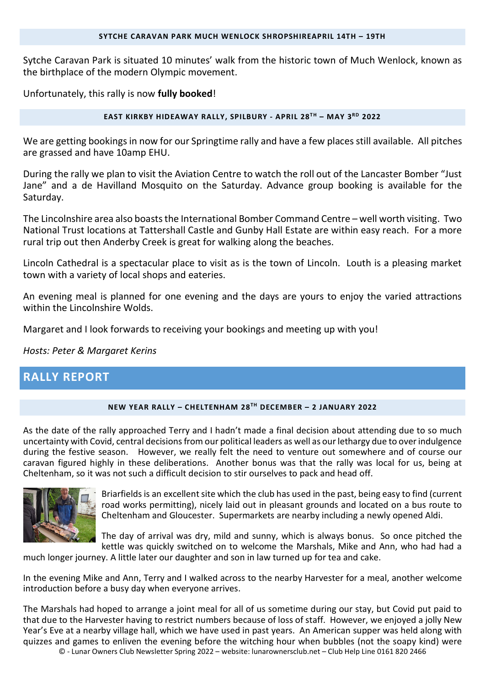Sytche Caravan Park is situated 10 minutes' walk from the historic town of Much Wenlock, known as the birthplace of the modern Olympic movement.

Unfortunately, this rally is now **fully booked**!

#### **EAST KIRKBY HIDEAWAY RALLY, SPILBURY - APRIL 28TH – MAY 3RD 2022**

We are getting bookings in now for our Springtime rally and have a few places still available. All pitches are grassed and have 10amp EHU.

During the rally we plan to visit the Aviation Centre to watch the roll out of the Lancaster Bomber "Just Jane" and a de Havilland Mosquito on the Saturday. Advance group booking is available for the Saturday.

The Lincolnshire area also boasts the International Bomber Command Centre – well worth visiting. Two National Trust locations at Tattershall Castle and Gunby Hall Estate are within easy reach. For a more rural trip out then Anderby Creek is great for walking along the beaches.

Lincoln Cathedral is a spectacular place to visit as is the town of Lincoln. Louth is a pleasing market town with a variety of local shops and eateries.

An evening meal is planned for one evening and the days are yours to enjoy the varied attractions within the Lincolnshire Wolds.

Margaret and I look forwards to receiving your bookings and meeting up with you!

*Hosts: Peter & Margaret Kerins*

#### **RALLY REPORT**

#### **NEW YEAR RALLY – CHELTENHAM 28TH DECEMBER – 2 JANUARY 2022**

As the date of the rally approached Terry and I hadn't made a final decision about attending due to so much uncertainty with Covid, central decisions from our political leaders as well as our lethargy due to over indulgence during the festive season. However, we really felt the need to venture out somewhere and of course our caravan figured highly in these deliberations. Another bonus was that the rally was local for us, being at Cheltenham, so it was not such a difficult decision to stir ourselves to pack and head off.



Briarfields is an excellent site which the club has used in the past, being easy to find (current road works permitting), nicely laid out in pleasant grounds and located on a bus route to Cheltenham and Gloucester. Supermarkets are nearby including a newly opened Aldi.

The day of arrival was dry, mild and sunny, which is always bonus. So once pitched the kettle was quickly switched on to welcome the Marshals, Mike and Ann, who had had a

much longer journey. A little later our daughter and son in law turned up for tea and cake.

In the evening Mike and Ann, Terry and I walked across to the nearby Harvester for a meal, another welcome introduction before a busy day when everyone arrives.

© - Lunar Owners Club Newsletter Spring 2022 – website: lunarownersclub.net – Club Help Line 0161 820 2466 The Marshals had hoped to arrange a joint meal for all of us sometime during our stay, but Covid put paid to that due to the Harvester having to restrict numbers because of loss of staff. However, we enjoyed a jolly New Year's Eve at a nearby village hall, which we have used in past years. An American supper was held along with quizzes and games to enliven the evening before the witching hour when bubbles (not the soapy kind) were